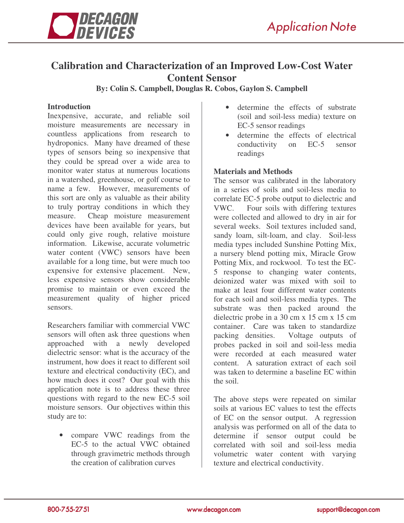

# **Calibration and Characterization of an Improved Low-Cost Water Content Sensor**

**By: Colin S. Campbell, Douglas R. Cobos, Gaylon S. Campbell**

# **Introduction**

Inexpensive, accurate, and reliable soil moisture measurements are necessary in countless applications from research to hydroponics. Many have dreamed of these types of sensors being so inexpensive that they could be spread over a wide area to monitor water status at numerous locations in a watershed, greenhouse, or golf course to name a few. However, measurements of this sort are only as valuable as their ability to truly portray conditions in which they measure. Cheap moisture measurement devices have been available for years, but could only give rough, relative moisture information. Likewise, accurate volumetric water content (VWC) sensors have been available for a long time, but were much too expensive for extensive placement. New, less expensive sensors show considerable promise to maintain or even exceed the measurement quality of higher priced sensors.

Researchers familiar with commercial VWC sensors will often ask three questions when approached with a newly developed dielectric sensor: what is the accuracy of the instrument, how does it react to different soil texture and electrical conductivity (EC), and how much does it cost? Our goal with this application note is to address these three questions with regard to the new EC-5 soil moisture sensors. Our objectives within this study are to:

• compare VWC readings from the EC-5 to the actual VWC obtained through gravimetric methods through the creation of calibration curves

- determine the effects of substrate (soil and soil-less media) texture on EC-5 sensor readings
- determine the effects of electrical conductivity on EC-5 sensor readings

# **Materials and Methods**

The sensor was calibrated in the laboratory in a series of soils and soil-less media to correlate EC-5 probe output to dielectric and VWC. Four soils with differing textures were collected and allowed to dry in air for several weeks. Soil textures included sand, sandy loam, silt-loam, and clay. Soil-less media types included Sunshine Potting Mix, a nursery blend potting mix, Miracle Grow Potting Mix, and rockwool. To test the EC-5 response to changing water contents, deionized water was mixed with soil to make at least four different water contents for each soil and soil-less media types. The substrate was then packed around the dielectric probe in a 30 cm x 15 cm x 15 cm container. Care was taken to standardize packing densities. Voltage outputs of probes packed in soil and soil-less media were recorded at each measured water content. A saturation extract of each soil was taken to determine a baseline EC within the soil.

The above steps were repeated on similar soils at various EC values to test the effects of EC on the sensor output. A regression analysis was performed on all of the data to determine if sensor output could be correlated with soil and soil-less media volumetric water content with varying texture and electrical conductivity.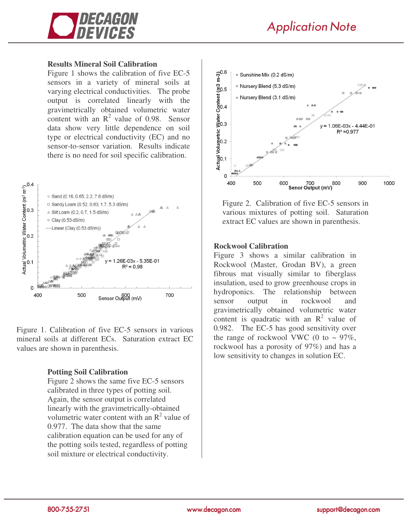

### **Results Mineral Soil Calibration**

Figure 1 shows the calibration of five EC-5 sensors in a variety of mineral soils at varying electrical conductivities. The probe output is correlated linearly with the gravimetrically obtained volumetric water content with an  $R^2$  value of 0.98. Sensor data show very little dependence on soil type or electrical conductivity (EC) and no sensor-to-sensor variation. Results indicate there is no need for soil specific calibration.



Figure 1. Calibration of five EC-5 sensors in various mineral soils at different ECs. Saturation extract EC values are shown in parenthesis.

#### **Potting Soil Calibration**

Figure 2 shows the same five EC-5 sensors calibrated in three types of potting soil. Again, the sensor output is correlated linearly with the gravimetrically-obtained volumetric water content with an  $R^2$  value of 0.977. The data show that the same calibration equation can be used for any of the potting soils tested, regardless of potting soil mixture or electrical conductivity.



Figure 2. Calibration of five EC-5 sensors in various mixtures of potting soil. Saturation extract EC values are shown in parenthesis.

#### **Rockwool Calibration**

Figure 3 shows a similar calibration in Rockwool (Master, Grodan BV), a green fibrous mat visually similar to fiberglass insulation, used to grow greenhouse crops in hydroponics. The relationship between sensor output in rockwool and gravimetrically obtained volumetric water content is quadratic with an  $\mathbb{R}^2$  value of 0.982. The EC-5 has good sensitivity over the range of rockwool VWC (0 to  $\sim$  97%, rockwool has a porosity of 97%) and has a low sensitivity to changes in solution EC.